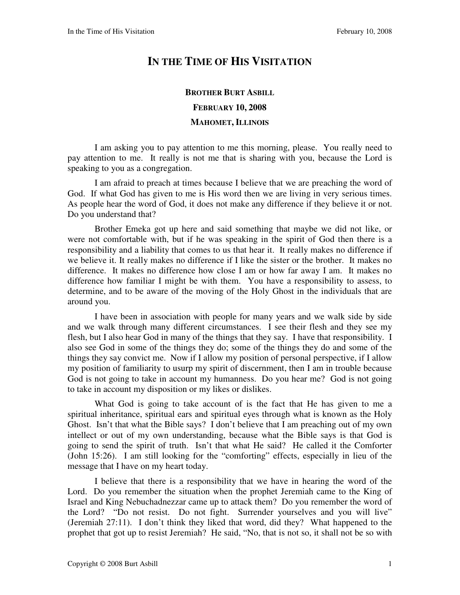## **IN THE TIME OF HIS VISITATION**

## **BROTHER BURT ASBILL FEBRUARY 10, 2008 MAHOMET, ILLINOIS**

I am asking you to pay attention to me this morning, please. You really need to pay attention to me. It really is not me that is sharing with you, because the Lord is speaking to you as a congregation.

I am afraid to preach at times because I believe that we are preaching the word of God. If what God has given to me is His word then we are living in very serious times. As people hear the word of God, it does not make any difference if they believe it or not. Do you understand that?

Brother Emeka got up here and said something that maybe we did not like, or were not comfortable with, but if he was speaking in the spirit of God then there is a responsibility and a liability that comes to us that hear it. It really makes no difference if we believe it. It really makes no difference if I like the sister or the brother. It makes no difference. It makes no difference how close I am or how far away I am. It makes no difference how familiar I might be with them. You have a responsibility to assess, to determine, and to be aware of the moving of the Holy Ghost in the individuals that are around you.

I have been in association with people for many years and we walk side by side and we walk through many different circumstances. I see their flesh and they see my flesh, but I also hear God in many of the things that they say. I have that responsibility. I also see God in some of the things they do; some of the things they do and some of the things they say convict me. Now if I allow my position of personal perspective, if I allow my position of familiarity to usurp my spirit of discernment, then I am in trouble because God is not going to take in account my humanness. Do you hear me? God is not going to take in account my disposition or my likes or dislikes.

What God is going to take account of is the fact that He has given to me a spiritual inheritance, spiritual ears and spiritual eyes through what is known as the Holy Ghost. Isn't that what the Bible says? I don't believe that I am preaching out of my own intellect or out of my own understanding, because what the Bible says is that God is going to send the spirit of truth. Isn't that what He said? He called it the Comforter (John 15:26). I am still looking for the "comforting" effects, especially in lieu of the message that I have on my heart today.

I believe that there is a responsibility that we have in hearing the word of the Lord. Do you remember the situation when the prophet Jeremiah came to the King of Israel and King Nebuchadnezzar came up to attack them? Do you remember the word of the Lord? "Do not resist. Do not fight. Surrender yourselves and you will live" (Jeremiah 27:11). I don't think they liked that word, did they? What happened to the prophet that got up to resist Jeremiah? He said, "No, that is not so, it shall not be so with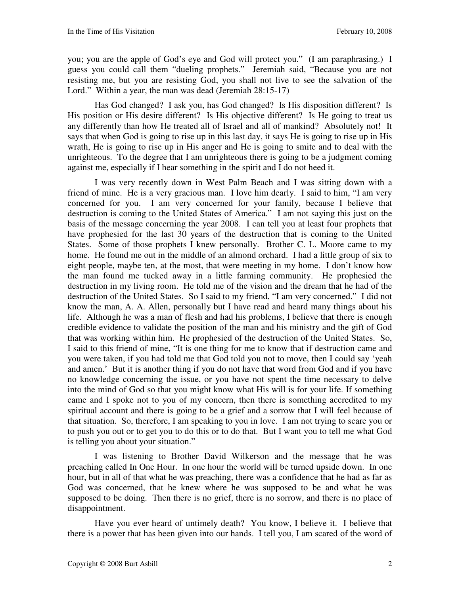you; you are the apple of God's eye and God will protect you." (I am paraphrasing.) I guess you could call them "dueling prophets." Jeremiah said, "Because you are not resisting me, but you are resisting God, you shall not live to see the salvation of the Lord." Within a year, the man was dead (Jeremiah 28:15-17)

Has God changed? I ask you, has God changed? Is His disposition different? Is His position or His desire different? Is His objective different? Is He going to treat us any differently than how He treated all of Israel and all of mankind? Absolutely not! It says that when God is going to rise up in this last day, it says He is going to rise up in His wrath, He is going to rise up in His anger and He is going to smite and to deal with the unrighteous. To the degree that I am unrighteous there is going to be a judgment coming against me, especially if I hear something in the spirit and I do not heed it.

I was very recently down in West Palm Beach and I was sitting down with a friend of mine. He is a very gracious man. I love him dearly. I said to him, "I am very concerned for you. I am very concerned for your family, because I believe that destruction is coming to the United States of America." I am not saying this just on the basis of the message concerning the year 2008. I can tell you at least four prophets that have prophesied for the last 30 years of the destruction that is coming to the United States. Some of those prophets I knew personally. Brother C. L. Moore came to my home. He found me out in the middle of an almond orchard. I had a little group of six to eight people, maybe ten, at the most, that were meeting in my home. I don't know how the man found me tucked away in a little farming community. He prophesied the destruction in my living room. He told me of the vision and the dream that he had of the destruction of the United States. So I said to my friend, "I am very concerned." I did not know the man, A. A. Allen, personally but I have read and heard many things about his life. Although he was a man of flesh and had his problems, I believe that there is enough credible evidence to validate the position of the man and his ministry and the gift of God that was working within him. He prophesied of the destruction of the United States. So, I said to this friend of mine, "It is one thing for me to know that if destruction came and you were taken, if you had told me that God told you not to move, then I could say 'yeah and amen.' But it is another thing if you do not have that word from God and if you have no knowledge concerning the issue, or you have not spent the time necessary to delve into the mind of God so that you might know what His will is for your life. If something came and I spoke not to you of my concern, then there is something accredited to my spiritual account and there is going to be a grief and a sorrow that I will feel because of that situation. So, therefore, I am speaking to you in love. I am not trying to scare you or to push you out or to get you to do this or to do that. But I want you to tell me what God is telling you about your situation."

I was listening to Brother David Wilkerson and the message that he was preaching called In One Hour. In one hour the world will be turned upside down. In one hour, but in all of that what he was preaching, there was a confidence that he had as far as God was concerned, that he knew where he was supposed to be and what he was supposed to be doing. Then there is no grief, there is no sorrow, and there is no place of disappointment.

Have you ever heard of untimely death? You know, I believe it. I believe that there is a power that has been given into our hands. I tell you, I am scared of the word of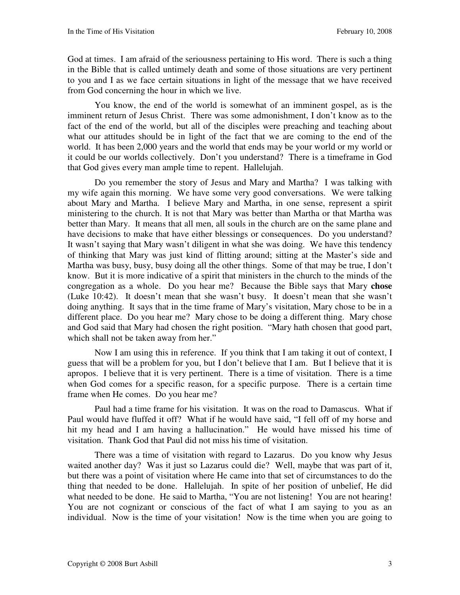God at times. I am afraid of the seriousness pertaining to His word. There is such a thing in the Bible that is called untimely death and some of those situations are very pertinent to you and I as we face certain situations in light of the message that we have received from God concerning the hour in which we live.

You know, the end of the world is somewhat of an imminent gospel, as is the imminent return of Jesus Christ. There was some admonishment, I don't know as to the fact of the end of the world, but all of the disciples were preaching and teaching about what our attitudes should be in light of the fact that we are coming to the end of the world. It has been 2,000 years and the world that ends may be your world or my world or it could be our worlds collectively. Don't you understand? There is a timeframe in God that God gives every man ample time to repent. Hallelujah.

Do you remember the story of Jesus and Mary and Martha? I was talking with my wife again this morning. We have some very good conversations. We were talking about Mary and Martha. I believe Mary and Martha, in one sense, represent a spirit ministering to the church. It is not that Mary was better than Martha or that Martha was better than Mary. It means that all men, all souls in the church are on the same plane and have decisions to make that have either blessings or consequences. Do you understand? It wasn't saying that Mary wasn't diligent in what she was doing. We have this tendency of thinking that Mary was just kind of flitting around; sitting at the Master's side and Martha was busy, busy, busy doing all the other things. Some of that may be true, I don't know. But it is more indicative of a spirit that ministers in the church to the minds of the congregation as a whole. Do you hear me? Because the Bible says that Mary **chose** (Luke 10:42). It doesn't mean that she wasn't busy. It doesn't mean that she wasn't doing anything. It says that in the time frame of Mary's visitation, Mary chose to be in a different place. Do you hear me? Mary chose to be doing a different thing. Mary chose and God said that Mary had chosen the right position. "Mary hath chosen that good part, which shall not be taken away from her."

Now I am using this in reference. If you think that I am taking it out of context, I guess that will be a problem for you, but I don't believe that I am. But I believe that it is apropos. I believe that it is very pertinent. There is a time of visitation. There is a time when God comes for a specific reason, for a specific purpose. There is a certain time frame when He comes. Do you hear me?

Paul had a time frame for his visitation. It was on the road to Damascus. What if Paul would have fluffed it off? What if he would have said, "I fell off of my horse and hit my head and I am having a hallucination." He would have missed his time of visitation. Thank God that Paul did not miss his time of visitation.

There was a time of visitation with regard to Lazarus. Do you know why Jesus waited another day? Was it just so Lazarus could die? Well, maybe that was part of it, but there was a point of visitation where He came into that set of circumstances to do the thing that needed to be done. Hallelujah. In spite of her position of unbelief, He did what needed to be done. He said to Martha, "You are not listening! You are not hearing! You are not cognizant or conscious of the fact of what I am saying to you as an individual. Now is the time of your visitation! Now is the time when you are going to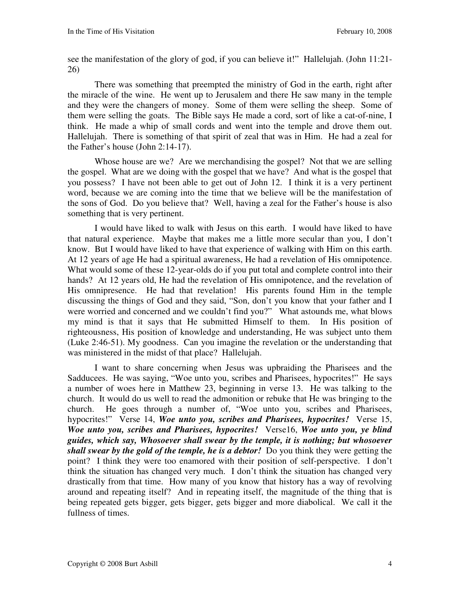see the manifestation of the glory of god, if you can believe it!" Hallelujah. (John 11:21- 26)

There was something that preempted the ministry of God in the earth, right after the miracle of the wine. He went up to Jerusalem and there He saw many in the temple and they were the changers of money. Some of them were selling the sheep. Some of them were selling the goats. The Bible says He made a cord, sort of like a cat-of-nine, I think. He made a whip of small cords and went into the temple and drove them out. Hallelujah. There is something of that spirit of zeal that was in Him. He had a zeal for the Father's house (John 2:14-17).

Whose house are we? Are we merchandising the gospel? Not that we are selling the gospel. What are we doing with the gospel that we have? And what is the gospel that you possess? I have not been able to get out of John 12. I think it is a very pertinent word, because we are coming into the time that we believe will be the manifestation of the sons of God. Do you believe that? Well, having a zeal for the Father's house is also something that is very pertinent.

I would have liked to walk with Jesus on this earth. I would have liked to have that natural experience. Maybe that makes me a little more secular than you, I don't know. But I would have liked to have that experience of walking with Him on this earth. At 12 years of age He had a spiritual awareness, He had a revelation of His omnipotence. What would some of these 12-year-olds do if you put total and complete control into their hands? At 12 years old, He had the revelation of His omnipotence, and the revelation of His omnipresence. He had that revelation! His parents found Him in the temple discussing the things of God and they said, "Son, don't you know that your father and I were worried and concerned and we couldn't find you?" What astounds me, what blows my mind is that it says that He submitted Himself to them. In His position of righteousness, His position of knowledge and understanding, He was subject unto them (Luke 2:46-51). My goodness. Can you imagine the revelation or the understanding that was ministered in the midst of that place? Hallelujah.

I want to share concerning when Jesus was upbraiding the Pharisees and the Sadducees. He was saying, "Woe unto you, scribes and Pharisees, hypocrites!" He says a number of woes here in Matthew 23, beginning in verse 13. He was talking to the church. It would do us well to read the admonition or rebuke that He was bringing to the church. He goes through a number of, "Woe unto you, scribes and Pharisees, hypocrites!"Verse 14, *Woe unto you, scribes and Pharisees, hypocrites!* Verse 15, *Woe unto you, scribes and Pharisees, hypocrites!* Verse16, *Woe unto you, ye blind guides, which say, Whosoever shall swear by the temple, it is nothing; but whosoever shall swear by the gold of the temple, he is a debtor!* Do you think they were getting the point? I think they were too enamored with their position of self-perspective. I don't think the situation has changed very much. I don't think the situation has changed very drastically from that time. How many of you know that history has a way of revolving around and repeating itself? And in repeating itself, the magnitude of the thing that is being repeated gets bigger, gets bigger, gets bigger and more diabolical. We call it the fullness of times.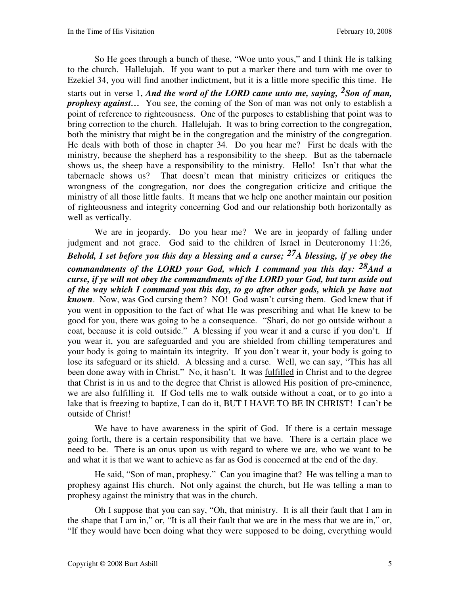So He goes through a bunch of these, "Woe unto yous," and I think He is talking to the church. Hallelujah. If you want to put a marker there and turn with me over to Ezekiel 34, you will find another indictment, but it is a little more specific this time. He starts out in verse 1, *And the word of the LORD came unto me, saying, 2Son of man, prophesy against*... You see, the coming of the Son of man was not only to establish a point of reference to righteousness. One of the purposes to establishing that point was to bring correction to the church. Hallelujah. It was to bring correction to the congregation, both the ministry that might be in the congregation and the ministry of the congregation. He deals with both of those in chapter 34. Do you hear me? First he deals with the ministry, because the shepherd has a responsibility to the sheep. But as the tabernacle shows us, the sheep have a responsibility to the ministry. Hello! Isn't that what the tabernacle shows us? That doesn't mean that ministry criticizes or critiques the wrongness of the congregation, nor does the congregation criticize and critique the ministry of all those little faults. It means that we help one another maintain our position of righteousness and integrity concerning God and our relationship both horizontally as well as vertically.

We are in jeopardy. Do you hear me? We are in jeopardy of falling under judgment and not grace. God said to the children of Israel in Deuteronomy 11:26, *Behold, I set before you this day a blessing and a curse; 27A blessing, if ye obey the commandments of the LORD your God, which I command you this day: 28And a curse, if ye will not obey the commandments of the LORD your God, but turn aside out of the way which I command you this day, to go after other gods, which ye have not known*.Now, was God cursing them? NO! God wasn't cursing them. God knew that if you went in opposition to the fact of what He was prescribing and what He knew to be good for you, there was going to be a consequence. "Shari, do not go outside without a coat, because it is cold outside." A blessing if you wear it and a curse if you don't. If you wear it, you are safeguarded and you are shielded from chilling temperatures and your body is going to maintain its integrity. If you don't wear it, your body is going to lose its safeguard or its shield. A blessing and a curse. Well, we can say, "This has all been done away with in Christ." No, it hasn't. It was fulfilled in Christ and to the degree that Christ is in us and to the degree that Christ is allowed His position of pre-eminence, we are also fulfilling it. If God tells me to walk outside without a coat, or to go into a lake that is freezing to baptize, I can do it, BUT I HAVE TO BE IN CHRIST! I can't be outside of Christ!

We have to have awareness in the spirit of God. If there is a certain message going forth, there is a certain responsibility that we have. There is a certain place we need to be. There is an onus upon us with regard to where we are, who we want to be and what it is that we want to achieve as far as God is concerned at the end of the day.

He said, "Son of man, prophesy."Can you imagine that? He was telling a man to prophesy against His church. Not only against the church, but He was telling a man to prophesy against the ministry that was in the church.

Oh I suppose that you can say, "Oh, that ministry. It is all their fault that I am in the shape that I am in," or, "It is all their fault that we are in the mess that we are in," or, "If they would have been doing what they were supposed to be doing, everything would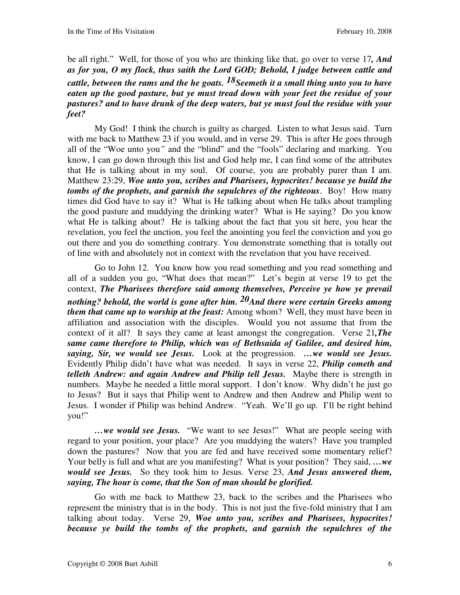be all right." Well, for those of you who are thinking like that, go over to verse 17*, And as for you, O my flock, thus saith the Lord GOD; Behold, I judge between cattle and cattle, between the rams and the he goats. 18Seemeth it a small thing unto you to have eaten up the good pasture, but ye must tread down with your feet the residue of your pastures? and to have drunk of the deep waters, but ye must foul the residue with your feet?* 

My God! I think the church is guilty as charged. Listen to what Jesus said. Turn with me back to Matthew 23 if you would, and in verse 29. This is after He goes through all of the "Woe unto you*"* and the "blind" and the "fools" declaring and marking. You know, I can go down through this list and God help me, I can find some of the attributes that He is talking about in my soul. Of course, you are probably purer than I am. Matthew 23:29, *Woe unto you, scribes and Pharisees, hypocrites! because ye build the tombs of the prophets, and garnish the sepulchres of the righteous*. Boy! How many times did God have to say it? What is He talking about when He talks about trampling the good pasture and muddying the drinking water? What is He saying? Do you know what He is talking about? He is talking about the fact that you sit here, you hear the revelation, you feel the unction, you feel the anointing you feel the conviction and you go out there and you do something contrary. You demonstrate something that is totally out of line with and absolutely not in context with the revelation that you have received.

Go to John 12. You know how you read something and you read something and all of a sudden you go, "What does that mean?" Let's begin at verse 19 to get the context, *The Pharisees therefore said among themselves, Perceive ye how ye prevail nothing? behold, the world is gone after him. 20And there were certain Greeks among them that came up to worship at the feast:* Among whom? Well, they must have been in affiliation and association with the disciples. Would you not assume that from the context of it all? It says they came at least amongst the congregation. Verse 21*,The same came therefore to Philip, which was of Bethsaida of Galilee, and desired him, saying, Sir, we would see Jesus.* Look at the progression. *…we would see Jesus.* Evidently Philip didn't have what was needed. It says in verse 22, *Philip cometh and telleth Andrew: and again Andrew and Philip tell Jesus.* Maybe there is strength in numbers. Maybe he needed a little moral support. I don't know. Why didn't he just go to Jesus? But it says that Philip went to Andrew and then Andrew and Philip went to Jesus. I wonder if Philip was behind Andrew. "Yeah. We'll go up. I'll be right behind you!"

*…we would see Jesus.* "We want to see Jesus!" What are people seeing with regard to your position, your place? Are you muddying the waters? Have you trampled down the pastures? Now that you are fed and have received some momentary relief? Your belly is full and what are you manifesting? What is your position? They said, *…we would see Jesus.* So they took him to Jesus. Verse 23, *And Jesus answered them, saying, The hour is come, that the Son of man should be glorified.* 

Go with me back to Matthew 23, back to the scribes and the Pharisees who represent the ministry that is in the body. This is not just the five-fold ministry that I am talking about today. Verse 29, *Woe unto you, scribes and Pharisees, hypocrites! because ye build the tombs of the prophets, and garnish the sepulchres of the*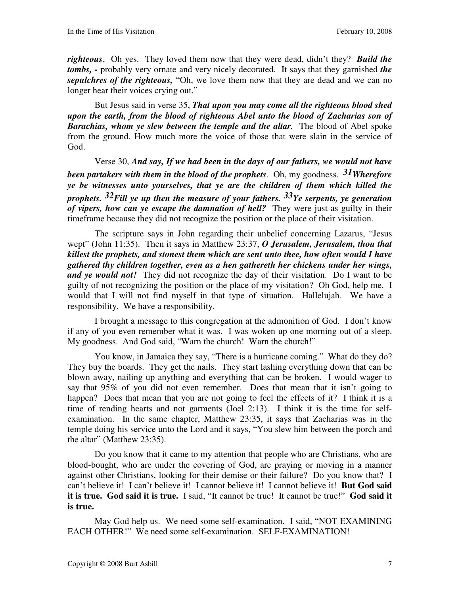*righteous*,Oh yes. They loved them now that they were dead, didn't they? *Build the tombs, -* probably very ornate and very nicely decorated. It says that they garnished *the sepulchres of the righteous,* "Oh, we love them now that they are dead and we can no longer hear their voices crying out."

But Jesus said in verse 35, *That upon you may come all the righteous blood shed upon the earth, from the blood of righteous Abel unto the blood of Zacharias son of Barachias, whom ye slew between the temple and the altar.*The blood of Abel spoke from the ground. How much more the voice of those that were slain in the service of God.

Verse 30, *And say, If we had been in the days of our fathers, we would not have been partakers with them in the blood of the prophets.* Oh, my goodness. *31Wherefore ye be witnesses unto yourselves, that ye are the children of them which killed the prophets. 32Fill ye up then the measure of your fathers. 33Ye serpents, ye generation of vipers, how can ye escape the damnation of hell?* They were just as guilty in their timeframe because they did not recognize the position or the place of their visitation.

The scripture says in John regarding their unbelief concerning Lazarus, "Jesus wept" (John 11:35). Then it says in Matthew 23:37, *O Jerusalem, Jerusalem, thou that killest the prophets, and stonest them which are sent unto thee, how often would I have gathered thy children together, even as a hen gathereth her chickens under her wings, and ye would not!* They did not recognize the day of their visitation. Do I want to be guilty of not recognizing the position or the place of my visitation? Oh God, help me. I would that I will not find myself in that type of situation. Hallelujah. We have a responsibility. We have a responsibility.

I brought a message to this congregation at the admonition of God. I don't know if any of you even remember what it was. I was woken up one morning out of a sleep. My goodness. And God said, "Warn the church! Warn the church!"

You know, in Jamaica they say, "There is a hurricane coming." What do they do? They buy the boards. They get the nails. They start lashing everything down that can be blown away, nailing up anything and everything that can be broken. I would wager to say that 95% of you did not even remember. Does that mean that it isn't going to happen? Does that mean that you are not going to feel the effects of it? I think it is a time of rending hearts and not garments (Joel 2:13). I think it is the time for selfexamination. In the same chapter, Matthew 23:35, it says that Zacharias was in the temple doing his service unto the Lord and it says, "You slew him between the porch and the altar" (Matthew 23:35).

Do you know that it came to my attention that people who are Christians, who are blood-bought, who are under the covering of God, are praying or moving in a manner against other Christians, looking for their demise or their failure? Do you know that? I can't believe it! I can't believe it! I cannot believe it! I cannot believe it! **But God said it is true. God said it is true.** I said, "It cannot be true! It cannot be true!" **God said it is true.**

May God help us. We need some self-examination. I said, "NOT EXAMINING EACH OTHER!" We need some self-examination. SELF-EXAMINATION!